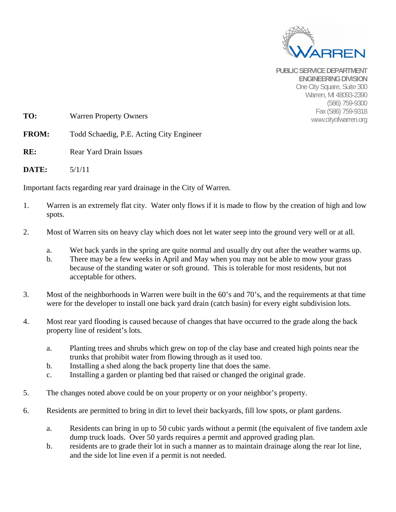

**PUBLIC SERVICE DEPARTMENT ENGINEERING DIVISION**  One City Square, Suite 300 Warren, MI 48093-2390 (586) 759-9300 Fax (586) 759-9318

**TO:** Warren Property Owners **TO:** Warren Property Owners **TO:** WWW.cityofwarren.org

**FROM:** Todd Schaedig, P.E. Acting City Engineer

- **RE:** Rear Yard Drain Issues
- **DATE:** 5/1/11

Important facts regarding rear yard drainage in the City of Warren.

- 1. Warren is an extremely flat city. Water only flows if it is made to flow by the creation of high and low spots.
- 2. Most of Warren sits on heavy clay which does not let water seep into the ground very well or at all.
	- a. Wet back yards in the spring are quite normal and usually dry out after the weather warms up.
	- b. There may be a few weeks in April and May when you may not be able to mow your grass because of the standing water or soft ground. This is tolerable for most residents, but not acceptable for others.
- 3. Most of the neighborhoods in Warren were built in the 60's and 70's, and the requirements at that time were for the developer to install one back yard drain (catch basin) for every eight subdivision lots.
- 4. Most rear yard flooding is caused because of changes that have occurred to the grade along the back property line of resident's lots.
	- a. Planting trees and shrubs which grew on top of the clay base and created high points near the trunks that prohibit water from flowing through as it used too.
	- b. Installing a shed along the back property line that does the same.
	- c. Installing a garden or planting bed that raised or changed the original grade.
- 5. The changes noted above could be on your property or on your neighbor's property.
- 6. Residents are permitted to bring in dirt to level their backyards, fill low spots, or plant gardens.
	- a. Residents can bring in up to 50 cubic yards without a permit (the equivalent of five tandem axle dump truck loads. Over 50 yards requires a permit and approved grading plan.
	- b. residents are to grade their lot in such a manner as to maintain drainage along the rear lot line, and the side lot line even if a permit is not needed.